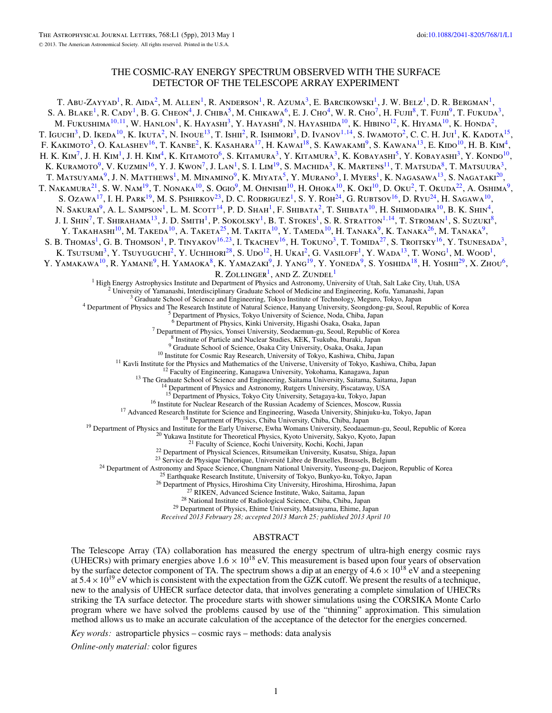# THE COSMIC-RAY ENERGY SPECTRUM OBSERVED WITH THE SURFACE DETECTOR OF THE TELESCOPE ARRAY EXPERIMENT

T. Abu-Zayyad<sup>1</sup>, R. Aida<sup>2</sup>, M. Allen<sup>1</sup>, R. Anderson<sup>1</sup>, R. Azuma<sup>3</sup>, E. Barcikowski<sup>1</sup>, J. W. Belz<sup>1</sup>, D. R. Bergman<sup>1</sup>, S. A. Blake<sup>1</sup>, R. Cady<sup>1</sup>, B. G. Cheon<sup>4</sup>, J. Chiba<sup>5</sup>, M. Chikawa<sup>6</sup>, E. J. Cho<sup>4</sup>, W. R. Cho<sup>7</sup>, H. Fujii<sup>8</sup>, T. Fujii<sup>9</sup>, T. Fukuda<sup>3</sup>, M. Fukushima<sup>10,11</sup>, W. Hanlon<sup>1</sup>, K. Hayashi<sup>3</sup>, Y. Hayashi<sup>9</sup>, N. Hayashida<sup>10</sup>, K. Hibino<sup>12</sup>, K. Hiyama<sup>10</sup>, K. Honda<sup>2</sup>, T. Iguchi<sup>3</sup>, D. Ikeda<sup>10</sup>, K. Ikuta<sup>2</sup>, N. Inoue<sup>13</sup>, T. Ishii<sup>2</sup>, R. Ishimori<sup>3</sup>, D. Ivanov<sup>1,14</sup>, S. Iwamoto<sup>2</sup>, C. C. H. Jui<sup>1</sup>, K. Kadota<sup>15</sup>, F. KAKIMOTO<sup>3</sup>, O. KALASHEV<sup>16</sup>, T. KANBE<sup>2</sup>, K. KASAHARA<sup>17</sup>, H. KAWAI<sup>18</sup>, S. KAWAKAMI<sup>9</sup>, S. KAWANA<sup>13</sup>, E. KIDO<sup>10</sup>, H. B. KIM<sup>4</sup>, H. K. Kim<sup>7</sup>, J. H. Kim<sup>1</sup>, J. H. Kim<sup>4</sup>, K. Kitamoto<sup>6</sup>, S. Kitamura<sup>3</sup>, Y. Kitamura<sup>3</sup>, K. Kobayashi<sup>5</sup>, Y. Kobayashi<sup>3</sup>, Y. Kondo<sup>10</sup>, K. Kuramoto $^9$ , V. Kuzmin $^{16}$ , Y. J. Kwon $^7$ , J. Lan $^1$ , S. I. Lim $^{19}$ , S. Machida $^3$ , K. Martens $^{11}$ , T. Matsuda $^8$ , T. Matsuura $^3$ , T. Matsuyama<sup>9</sup>, J. N. Matthews<sup>1</sup>, M. Minamino<sup>9</sup>, K. Miyata<sup>5</sup>, Y. Murano<sup>3</sup>, I. Myers<sup>1</sup>, K. Nagasawa<sup>13</sup>, S. Nagataki<sup>20</sup>, T. NAKAMURA<sup>21</sup>, S. W. Nam<sup>19</sup>, T. Nonaka<sup>10</sup>, S. Ogio<sup>9</sup>, M. Ohnishi<sup>10</sup>, H. Ohoka<sup>10</sup>, K. Oki<sup>10</sup>, D. Oku<sup>2</sup>, T. Okuda<sup>22</sup>, A. Oshima<sup>9</sup>, S. Ozawa<sup>17</sup>, I. H. Park<sup>19</sup>, M. S. Pshirkov<sup>23</sup>, D. C. Rodriguez<sup>1</sup>, S. Y. Roh<sup>24</sup>, G. Rubtsov<sup>16</sup>, D. Ryu<sup>24</sup>, H. Sagawa<sup>10</sup>, N. Sakurai<sup>9</sup>, A. L. Sampson<sup>1</sup>, L. M. Scott<sup>14</sup>, P. D. Shah<sup>1</sup>, F. Shibata<sup>2</sup>, T. Shibata<sup>10</sup>, H. Shimodaira<sup>10</sup>, B. K. Shin<sup>4</sup>, J. I. Shin<sup>7</sup>, T. Shirahama<sup>13</sup>, J. D. Smith<sup>1</sup>, P. Sokolsky<sup>1</sup>, B. T. Stokes<sup>1</sup>, S. R. Stratton<sup>1,14</sup>, T. Stroman<sup>1</sup>, S. Suzuki<sup>8</sup>, Y. Takahashi<sup>10</sup>, M. Takeda<sup>10</sup>, A. Taketa<sup>25</sup>, M. Takita<sup>10</sup>, Y. Tameda<sup>10</sup>, H. Tanaka<sup>9</sup>, K. Tanaka<sup>26</sup>, M. Tanaka<sup>9</sup>, S. B. Thomas<sup>1</sup>, G. B. Thomson<sup>1</sup>, P. Tinyakov<sup>16,23</sup>, I. Tkachev<sup>16</sup>, H. Tokuno<sup>3</sup>, T. Tomida<sup>27</sup>, S. Troitsky<sup>16</sup>, Y. Tsunesada<sup>3</sup>, K. Tsursum<sup>3</sup>, Y. Tsuyuguchi<sup>2</sup>, Y. Uchihori<sup>28</sup>, S. Udo<sup>12</sup>, H. Ukai<sup>2</sup>, G. Vasiloff<sup>1</sup>, Y. Wada<sup>13</sup>, T. Wong<sup>1</sup>, M. Wood<sup>1</sup>, M. Wood<sup>1</sup>, Y. YAMAKAWA<sup>10</sup>, R. YAMANE<sup>9</sup>, H. YAMAOKA<sup>8</sup>, K. YAMAZAKI<sup>9</sup>, J. YANG<sup>19</sup>, Y. YONEDA<sup>9</sup>, S. YOSHIDA<sup>18</sup>, H. YOSHII<sup>29</sup>, X. Zhou<sup>6</sup>, R.  $Z$ OLLINGER<sup>1</sup>, AND Z.  $Z$ UNDEL<sup>1</sup><br><sup>1</sup> High Energy Astrophysics Institute and Department of Physics and Astronomy, University of Utah, Salt Lake City, Utah, USA <sup>2</sup> University of Yamanashi, Interdisciplinary Graduate School of Medicine and Engineering, Kofu, Yamanashi, Japan<br><sup>3</sup> Graduate School of Science and Engineering, Tokyo Institute of Technology, Meguro, Tokyo, Japan<br><sup>4</sup> De <sup>7</sup> Department of Physics, Yonsei University, Seodaemun-gu, Seoul, Republic of Korea<br>
<sup>8</sup> Institute of Particle and Nuclear Studies, KEK, Tsukuba, Ibaraki, Japan<br>
<sup>9</sup> Graduate School of Science, Osaka City University, Osa <sup>15</sup> Department of Physics, Tokyo City University, Setagaya-ku, Tokyo, Japan<br><sup>16</sup> Institute for Nuclear Research of the Russian Academy of Sciences, Moscow, Russia<br><sup>17</sup> Advanced Research Institute for Science and Engineer *Received 2013 February 28; accepted 2013 March 25; published 2013 April 10* ABSTRACT

The Telescope Array (TA) collaboration has measured the energy spectrum of ultra-high energy cosmic rays (UHECRs) with primary energies above  $1.6 \times 10^{18}$  eV. This measurement is based upon four years of observation by the surface detector component of TA. The spectrum shows a dip at an energy of  $4.6 \times 10^{18}$  eV and a steepening at  $5.4 \times 10^{19}$  eV which is consistent with the expectation from the GZK cutoff. We present the results of a technique, new to the analysis of UHECR surface detector data, that involves generating a complete simulation of UHECRs striking the TA surface detector. The procedure starts with shower simulations using the CORSIKA Monte Carlo program where we have solved the problems caused by use of the "thinning" approximation. This simulation method allows us to make an accurate calculation of the acceptance of the detector for the energies concerned.

*Key words:* astroparticle physics – cosmic rays – methods: data analysis

*Online-only material:* color figures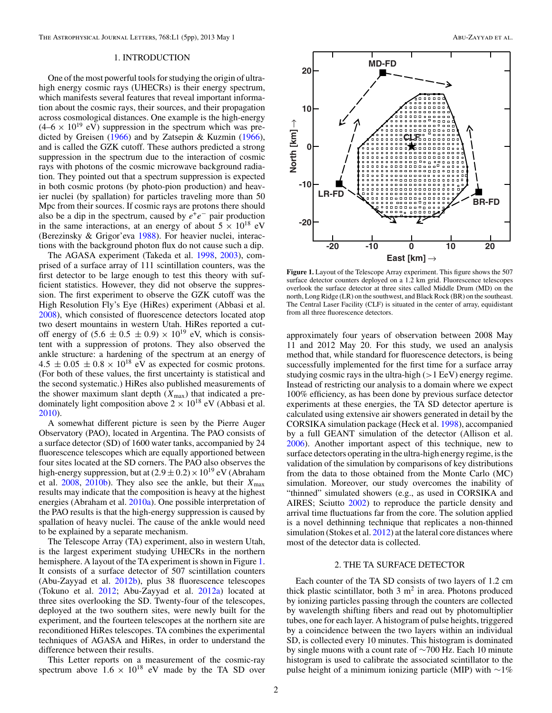### 1. INTRODUCTION

One of the most powerful tools for studying the origin of ultrahigh energy cosmic rays (UHECRs) is their energy spectrum, which manifests several features that reveal important information about the cosmic rays, their sources, and their propagation across cosmological distances. One example is the high-energy  $(4-6 \times 10^{19} \text{ eV})$  suppression in the spectrum which was predicted by Greisen [\(1966\)](#page-4-0) and by Zatsepin & Kuzmin [\(1966\)](#page-4-0), and is called the GZK cutoff. These authors predicted a strong suppression in the spectrum due to the interaction of cosmic rays with photons of the cosmic microwave background radiation. They pointed out that a spectrum suppression is expected in both cosmic protons (by photo-pion production) and heavier nuclei (by spallation) for particles traveling more than 50 Mpc from their sources. If cosmic rays are protons there should also be a dip in the spectrum, caused by  $e^+e^-$  pair production in the same interactions, at an energy of about  $5 \times 10^{18}$  eV (Berezinsky & Grigor'eva [1988\)](#page-4-0). For heavier nuclei, interactions with the background photon flux do not cause such a dip.

The AGASA experiment (Takeda et al. [1998,](#page-4-0) [2003\)](#page-4-0), comprised of a surface array of 111 scintillation counters, was the first detector to be large enough to test this theory with sufficient statistics. However, they did not observe the suppression. The first experiment to observe the GZK cutoff was the High Resolution Fly's Eye (HiRes) experiment (Abbasi et al. [2008\)](#page-4-0), which consisted of fluorescence detectors located atop two desert mountains in western Utah. HiRes reported a cutoff energy of  $(5.6 \pm 0.5 \pm 0.9) \times 10^{19}$  eV, which is consistent with a suppression of protons. They also observed the ankle structure: a hardening of the spectrum at an energy of  $4.5 \pm 0.05 \pm 0.8 \times 10^{18}$  eV as expected for cosmic protons. (For both of these values, the first uncertainty is statistical and the second systematic.) HiRes also published measurements of the shower maximum slant depth  $(X_{\text{max}})$  that indicated a predominately light composition above  $2 \times 10^{18}$  eV (Abbasi et al. [2010\)](#page-4-0).

A somewhat different picture is seen by the Pierre Auger Observatory (PAO), located in Argentina. The PAO consists of a surface detector (SD) of 1600 water tanks, accompanied by 24 fluorescence telescopes which are equally apportioned between four sites located at the SD corners. The PAO also observes the high-energy suppression, but at  $(2.9 \pm 0.2) \times 10^{19}$  eV (Abraham et al.  $2008$ ,  $2010<sub>b</sub>$ ). They also see the ankle, but their  $X<sub>max</sub>$ results may indicate that the composition is heavy at the highest energies (Abraham et al. [2010a\)](#page-4-0). One possible interpretation of the PAO results is that the high-energy suppression is caused by spallation of heavy nuclei. The cause of the ankle would need to be explained by a separate mechanism.

The Telescope Array (TA) experiment, also in western Utah, is the largest experiment studying UHECRs in the northern hemisphere. A layout of the TA experiment is shown in Figure 1. It consists of a surface detector of 507 scintillation counters (Abu-Zayyad et al. [2012b\)](#page-4-0), plus 38 fluorescence telescopes (Tokuno et al. [2012;](#page-4-0) Abu-Zayyad et al. [2012a\)](#page-4-0) located at three sites overlooking the SD. Twenty-four of the telescopes, deployed at the two southern sites, were newly built for the experiment, and the fourteen telescopes at the northern site are reconditioned HiRes telescopes. TA combines the experimental techniques of AGASA and HiRes, in order to understand the difference between their results.

This Letter reports on a measurement of the cosmic-ray spectrum above  $1.6 \times 10^{18}$  eV made by the TA SD over



**Figure 1.** Layout of the Telescope Array experiment. This figure shows the 507 surface detector counters deployed on a 1.2 km grid. Fluorescence telescopes overlook the surface detector at three sites called Middle Drum (MD) on the north, Long Ridge (LR) on the southwest, and Black Rock (BR) on the southeast. The Central Laser Facility (CLF) is situated in the center of array, equidistant from all three fluorescence detectors.

approximately four years of observation between 2008 May 11 and 2012 May 20. For this study, we used an analysis method that, while standard for fluorescence detectors, is being successfully implemented for the first time for a surface array studying cosmic rays in the ultra-high (*>*1 EeV) energy regime. Instead of restricting our analysis to a domain where we expect 100% efficiency, as has been done by previous surface detector experiments at these energies, the TA SD detector aperture is calculated using extensive air showers generated in detail by the CORSIKA simulation package (Heck et al. [1998\)](#page-4-0), accompanied by a full GEANT simulation of the detector (Allison et al. [2006\)](#page-4-0). Another important aspect of this technique, new to surface detectors operating in the ultra-high energy regime, is the validation of the simulation by comparisons of key distributions from the data to those obtained from the Monte Carlo (MC) simulation. Moreover, our study overcomes the inability of "thinned" simulated showers (e.g., as used in CORSIKA and AIRES; Sciutto [2002\)](#page-4-0) to reproduce the particle density and arrival time fluctuations far from the core. The solution applied is a novel dethinning technique that replicates a non-thinned simulation (Stokes et al. [2012\)](#page-4-0) at the lateral core distances where most of the detector data is collected.

### 2. THE TA SURFACE DETECTOR

Each counter of the TA SD consists of two layers of 1.2 cm thick plastic scintillator, both  $3 \text{ m}^2$  in area. Photons produced by ionizing particles passing through the counters are collected by wavelength shifting fibers and read out by photomultiplier tubes, one for each layer. A histogram of pulse heights, triggered by a coincidence between the two layers within an individual SD, is collected every 10 minutes. This histogram is dominated by single muons with a count rate of ∼700 Hz. Each 10 minute histogram is used to calibrate the associated scintillator to the pulse height of a minimum ionizing particle (MIP) with  $\sim$ 1%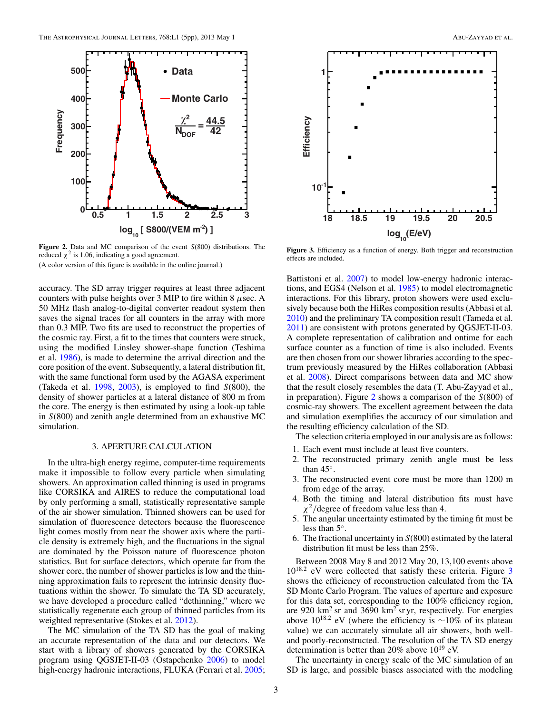

**Figure 2.** Data and MC comparison of the event *S*(800) distributions. The reduced  $\chi^2$  is 1.06, indicating a good agreement.

(A color version of this figure is available in the online journal.)

accuracy. The SD array trigger requires at least three adjacent counters with pulse heights over 3 MIP to fire within 8 *μ*sec. A 50 MHz flash analog-to-digital converter readout system then saves the signal traces for all counters in the array with more than 0.3 MIP. Two fits are used to reconstruct the properties of the cosmic ray. First, a fit to the times that counters were struck, using the modified Linsley shower-shape function (Teshima et al. [1986\)](#page-4-0), is made to determine the arrival direction and the core position of the event. Subsequently, a lateral distribution fit, with the same functional form used by the AGASA experiment (Takeda et al. [1998,](#page-4-0) [2003\)](#page-4-0), is employed to find *S*(800), the density of shower particles at a lateral distance of 800 m from the core. The energy is then estimated by using a look-up table in *S*(800) and zenith angle determined from an exhaustive MC simulation.

## 3. APERTURE CALCULATION

In the ultra-high energy regime, computer-time requirements make it impossible to follow every particle when simulating showers. An approximation called thinning is used in programs like CORSIKA and AIRES to reduce the computational load by only performing a small, statistically representative sample of the air shower simulation. Thinned showers can be used for simulation of fluorescence detectors because the fluorescence light comes mostly from near the shower axis where the particle density is extremely high, and the fluctuations in the signal are dominated by the Poisson nature of fluorescence photon statistics. But for surface detectors, which operate far from the shower core, the number of shower particles is low and the thinning approximation fails to represent the intrinsic density fluctuations within the shower. To simulate the TA SD accurately, we have developed a procedure called "dethinning," where we statistically regenerate each group of thinned particles from its weighted representative (Stokes et al. [2012\)](#page-4-0).

The MC simulation of the TA SD has the goal of making an accurate representation of the data and our detectors. We start with a library of showers generated by the CORSIKA program using QGSJET-II-03 (Ostapchenko [2006\)](#page-4-0) to model high-energy hadronic interactions, FLUKA (Ferrari et al. [2005;](#page-4-0)



**Figure 3.** Efficiency as a function of energy. Both trigger and reconstruction effects are included.

Battistoni et al. [2007\)](#page-4-0) to model low-energy hadronic interactions, and EGS4 (Nelson et al. [1985\)](#page-4-0) to model electromagnetic interactions. For this library, proton showers were used exclusively because both the HiRes composition results (Abbasi et al. [2010\)](#page-4-0) and the preliminary TA composition result (Tameda et al. [2011\)](#page-4-0) are consistent with protons generated by QGSJET-II-03. A complete representation of calibration and ontime for each surface counter as a function of time is also included. Events are then chosen from our shower libraries according to the spectrum previously measured by the HiRes collaboration (Abbasi et al. [2008\)](#page-4-0). Direct comparisons between data and MC show that the result closely resembles the data (T. Abu-Zayyad et al., in preparation). Figure 2 shows a comparison of the *S*(800) of cosmic-ray showers. The excellent agreement between the data and simulation exemplifies the accuracy of our simulation and the resulting efficiency calculation of the SD.

The selection criteria employed in our analysis are as follows:

- 1. Each event must include at least five counters.
- 2. The reconstructed primary zenith angle must be less than 45◦.
- 3. The reconstructed event core must be more than 1200 m from edge of the array.
- 4. Both the timing and lateral distribution fits must have *χ*<sup>2</sup>*/*degree of freedom value less than 4.
- 5. The angular uncertainty estimated by the timing fit must be less than 5◦.
- 6. The fractional uncertainty in *S*(800) estimated by the lateral distribution fit must be less than 25%.

Between 2008 May 8 and 2012 May 20, 13,100 events above 1018*.*<sup>2</sup> eV were collected that satisfy these criteria. Figure 3 shows the efficiency of reconstruction calculated from the TA SD Monte Carlo Program. The values of aperture and exposure for this data set, corresponding to the 100% efficiency region, are 920 km<sup>2</sup> sr and 3690 km<sup>2</sup> sr yr, respectively. For energies above  $10^{18.2}$  eV (where the efficiency is  $\sim$ 10% of its plateau value) we can accurately simulate all air showers, both welland poorly-reconstructed. The resolution of the TA SD energy determination is better than 20% above  $10^{19}$  eV.

The uncertainty in energy scale of the MC simulation of an SD is large, and possible biases associated with the modeling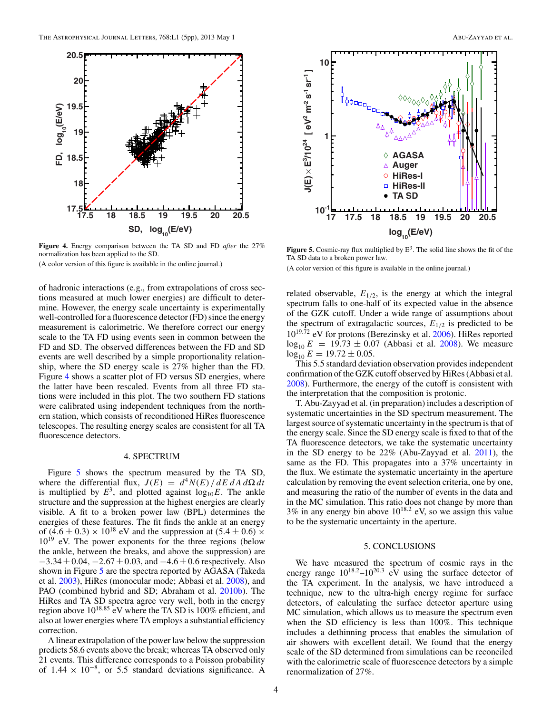

**Figure 4.** Energy comparison between the TA SD and FD *after* the 27% normalization has been applied to the SD.

(A color version of this figure is available in the online journal.)

of hadronic interactions (e.g., from extrapolations of cross sections measured at much lower energies) are difficult to determine. However, the energy scale uncertainty is experimentally well-controlled for a fluorescence detector (FD) since the energy measurement is calorimetric. We therefore correct our energy scale to the TA FD using events seen in common between the FD and SD. The observed differences between the FD and SD events are well described by a simple proportionality relationship, where the SD energy scale is 27% higher than the FD. Figure 4 shows a scatter plot of FD versus SD energies, where the latter have been rescaled. Events from all three FD stations were included in this plot. The two southern FD stations were calibrated using independent techniques from the northern station, which consists of reconditioned HiRes fluorescence telescopes. The resulting energy scales are consistent for all TA fluorescence detectors.

### 4. SPECTRUM

Figure 5 shows the spectrum measured by the TA SD, where the differential flux,  $J(E) = d^4 N(E) / dE dA d\Omega dt$ is multiplied by  $E^3$ , and plotted against  $log_{10}E$ . The ankle structure and the suppression at the highest energies are clearly visible. A fit to a broken power law (BPL) determines the energies of these features. The fit finds the ankle at an energy of  $(4.6 \pm 0.3) \times 10^{18}$  eV and the suppression at  $(5.4 \pm 0.6) \times$  $10^{19}$  eV. The power exponents for the three regions (below the ankle, between the breaks, and above the suppression) are −3*.*34±0*.*04*,* −2*.*67±0*.*03, and −4*.*6±0*.*6 respectively. Also shown in Figure 5 are the spectra reported by AGASA (Takeda et al. [2003\)](#page-4-0), HiRes (monocular mode; Abbasi et al. [2008\)](#page-4-0), and PAO (combined hybrid and SD; Abraham et al. [2010b\)](#page-4-0). The HiRes and TA SD spectra agree very well, both in the energy region above 1018*.*<sup>85</sup> eV where the TA SD is 100% efficient, and also at lower energies where TA employs a substantial efficiency correction.

A linear extrapolation of the power law below the suppression predicts 58.6 events above the break; whereas TA observed only 21 events. This difference corresponds to a Poisson probability of  $1.44 \times 10^{-8}$ , or 5.5 standard deviations significance. A



**Figure 5.** Cosmic-ray flux multiplied by E3. The solid line shows the fit of the TA SD data to a broken power law.

(A color version of this figure is available in the online journal.)

related observable,  $E_{1/2}$ , is the energy at which the integral spectrum falls to one-half of its expected value in the absence of the GZK cutoff. Under a wide range of assumptions about the spectrum of extragalactic sources,  $E_{1/2}$  is predicted to be 1019*.*<sup>72</sup> eV for protons (Berezinsky et al. [2006\)](#page-4-0). HiRes reported  $log_{10} E = 19.73 \pm 0.07$  (Abbasi et al. [2008\)](#page-4-0). We measure  $log_{10} E = 19.72 \pm 0.05.$ 

This 5.5 standard deviation observation provides independent confirmation of the GZK cutoff observed by HiRes (Abbasi et al. [2008\)](#page-4-0). Furthermore, the energy of the cutoff is consistent with the interpretation that the composition is protonic.

T. Abu-Zayyad et al. (in preparation) includes a description of systematic uncertainties in the SD spectrum measurement. The largest source of systematic uncertainty in the spectrum is that of the energy scale. Since the SD energy scale is fixed to that of the TA fluorescence detectors, we take the systematic uncertainty in the SD energy to be 22% (Abu-Zayyad et al. [2011\)](#page-4-0), the same as the FD. This propagates into a 37% uncertainty in the flux. We estimate the systematic uncertainty in the aperture calculation by removing the event selection criteria, one by one, and measuring the ratio of the number of events in the data and in the MC simulation. This ratio does not change by more than  $3\%$  in any energy bin above  $10^{18.2}$  eV, so we assign this value to be the systematic uncertainty in the aperture.

### 5. CONCLUSIONS

We have measured the spectrum of cosmic rays in the energy range  $10^{18.2} - 10^{20.3}$  eV using the surface detector of the TA experiment. In the analysis, we have introduced a technique, new to the ultra-high energy regime for surface detectors, of calculating the surface detector aperture using MC simulation, which allows us to measure the spectrum even when the SD efficiency is less than 100%. This technique includes a dethinning process that enables the simulation of air showers with excellent detail. We found that the energy scale of the SD determined from simulations can be reconciled with the calorimetric scale of fluorescence detectors by a simple renormalization of 27%.